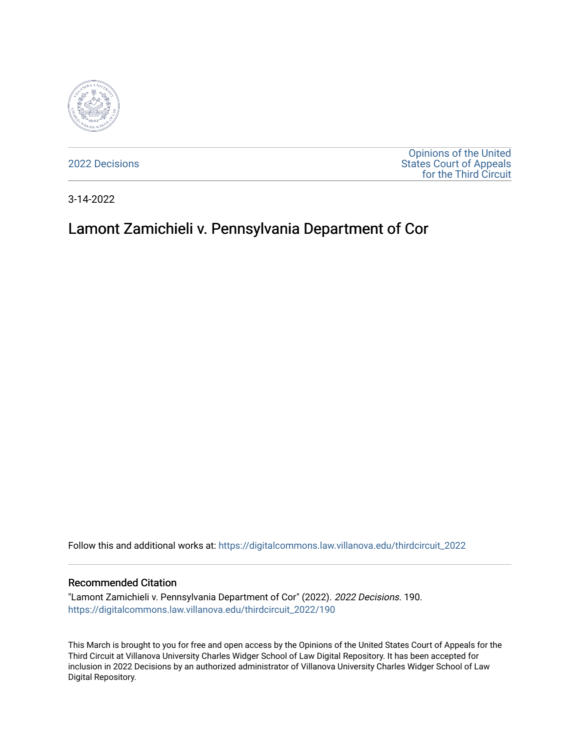

[2022 Decisions](https://digitalcommons.law.villanova.edu/thirdcircuit_2022)

[Opinions of the United](https://digitalcommons.law.villanova.edu/thirdcircuit)  [States Court of Appeals](https://digitalcommons.law.villanova.edu/thirdcircuit)  [for the Third Circuit](https://digitalcommons.law.villanova.edu/thirdcircuit) 

3-14-2022

# Lamont Zamichieli v. Pennsylvania Department of Cor

Follow this and additional works at: [https://digitalcommons.law.villanova.edu/thirdcircuit\\_2022](https://digitalcommons.law.villanova.edu/thirdcircuit_2022?utm_source=digitalcommons.law.villanova.edu%2Fthirdcircuit_2022%2F190&utm_medium=PDF&utm_campaign=PDFCoverPages) 

#### Recommended Citation

"Lamont Zamichieli v. Pennsylvania Department of Cor" (2022). 2022 Decisions. 190. [https://digitalcommons.law.villanova.edu/thirdcircuit\\_2022/190](https://digitalcommons.law.villanova.edu/thirdcircuit_2022/190?utm_source=digitalcommons.law.villanova.edu%2Fthirdcircuit_2022%2F190&utm_medium=PDF&utm_campaign=PDFCoverPages)

This March is brought to you for free and open access by the Opinions of the United States Court of Appeals for the Third Circuit at Villanova University Charles Widger School of Law Digital Repository. It has been accepted for inclusion in 2022 Decisions by an authorized administrator of Villanova University Charles Widger School of Law Digital Repository.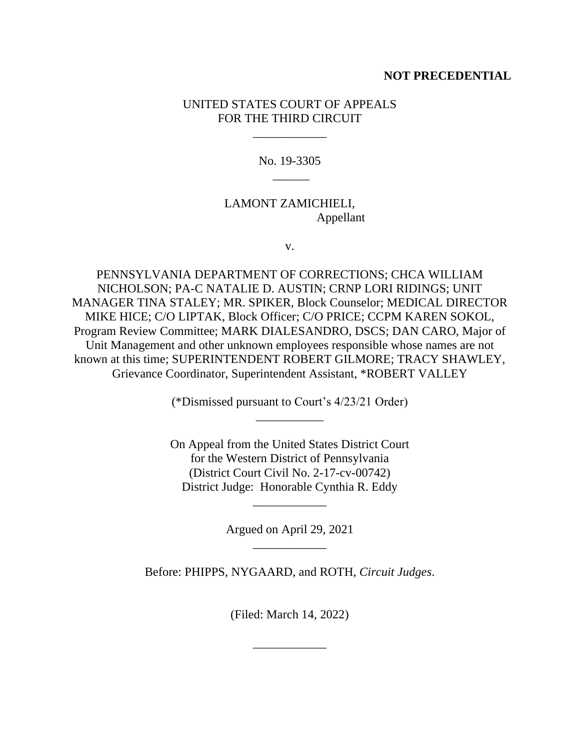## **NOT PRECEDENTIAL**

## UNITED STATES COURT OF APPEALS FOR THE THIRD CIRCUIT

\_\_\_\_\_\_\_\_\_\_\_\_

No. 19-3305  $\overline{\phantom{a}}$ 

## LAMONT ZAMICHIELI, Appellant

v.

PENNSYLVANIA DEPARTMENT OF CORRECTIONS; CHCA WILLIAM NICHOLSON; PA-C NATALIE D. AUSTIN; CRNP LORI RIDINGS; UNIT MANAGER TINA STALEY; MR. SPIKER, Block Counselor; MEDICAL DIRECTOR MIKE HICE; C/O LIPTAK, Block Officer; C/O PRICE; CCPM KAREN SOKOL, Program Review Committee; MARK DIALESANDRO, DSCS; DAN CARO, Major of Unit Management and other unknown employees responsible whose names are not known at this time; SUPERINTENDENT ROBERT GILMORE; TRACY SHAWLEY, Grievance Coordinator, Superintendent Assistant, \*ROBERT VALLEY

> (\*Dismissed pursuant to Court's 4/23/21 Order) \_\_\_\_\_\_\_\_\_\_\_

> On Appeal from the United States District Court for the Western District of Pennsylvania (District Court Civil No. 2-17-cv-00742) District Judge: Honorable Cynthia R. Eddy

> > Argued on April 29, 2021 \_\_\_\_\_\_\_\_\_\_\_\_

\_\_\_\_\_\_\_\_\_\_\_\_

Before: PHIPPS, NYGAARD, and ROTH, *Circuit Judges*.

(Filed: March 14, 2022)

\_\_\_\_\_\_\_\_\_\_\_\_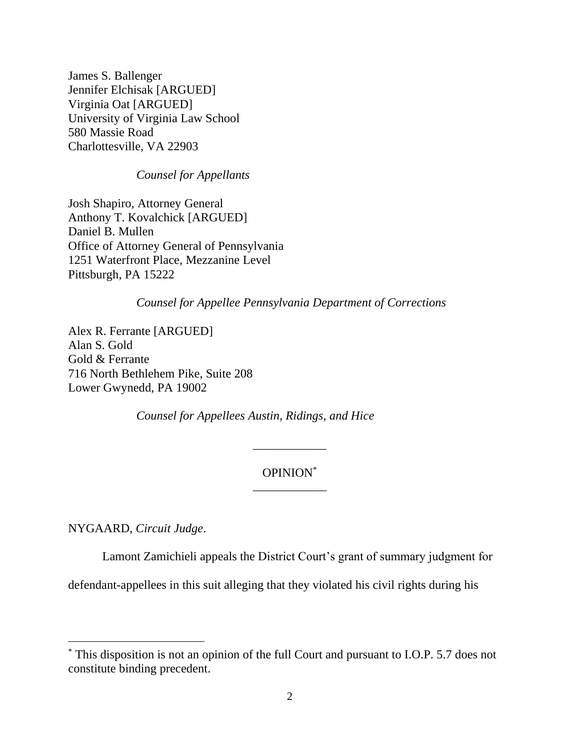James S. Ballenger Jennifer Elchisak [ARGUED] Virginia Oat [ARGUED] University of Virginia Law School 580 Massie Road Charlottesville, VA 22903

#### *Counsel for Appellants*

Josh Shapiro, Attorney General Anthony T. Kovalchick [ARGUED] Daniel B. Mullen Office of Attorney General of Pennsylvania 1251 Waterfront Place, Mezzanine Level Pittsburgh, PA 15222

*Counsel for Appellee Pennsylvania Department of Corrections*

Alex R. Ferrante [ARGUED] Alan S. Gold Gold & Ferrante 716 North Bethlehem Pike, Suite 208 Lower Gwynedd, PA 19002

*Counsel for Appellees Austin, Ridings, and Hice*

## OPINION\* \_\_\_\_\_\_\_\_\_\_\_\_\_

\_\_\_\_\_\_\_\_\_\_\_\_

NYGAARD, *Circuit Judge*.

Lamont Zamichieli appeals the District Court's grant of summary judgment for

defendant-appellees in this suit alleging that they violated his civil rights during his

<sup>\*</sup> This disposition is not an opinion of the full Court and pursuant to I.O.P. 5.7 does not constitute binding precedent.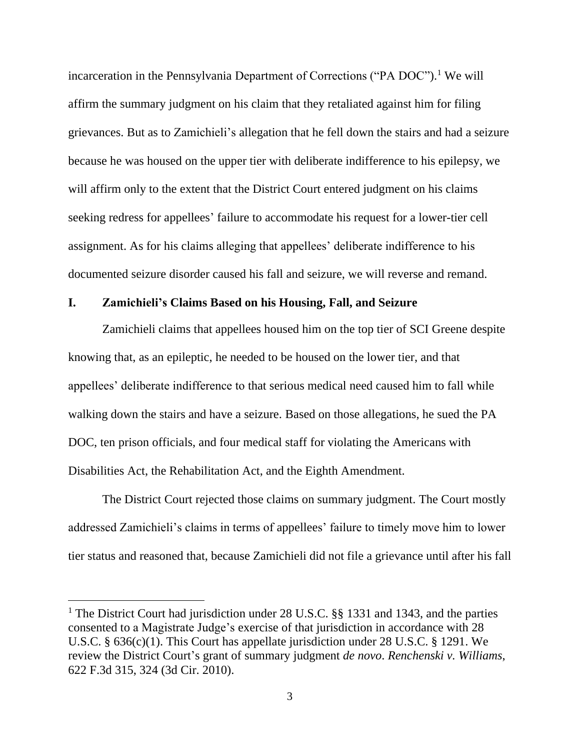incarceration in the Pennsylvania Department of Corrections ("PA DOC"). <sup>1</sup> We will affirm the summary judgment on his claim that they retaliated against him for filing grievances. But as to Zamichieli's allegation that he fell down the stairs and had a seizure because he was housed on the upper tier with deliberate indifference to his epilepsy, we will affirm only to the extent that the District Court entered judgment on his claims seeking redress for appellees' failure to accommodate his request for a lower-tier cell assignment. As for his claims alleging that appellees' deliberate indifference to his documented seizure disorder caused his fall and seizure, we will reverse and remand.

#### **I. Zamichieli's Claims Based on his Housing, Fall, and Seizure**

Zamichieli claims that appellees housed him on the top tier of SCI Greene despite knowing that, as an epileptic, he needed to be housed on the lower tier, and that appellees' deliberate indifference to that serious medical need caused him to fall while walking down the stairs and have a seizure. Based on those allegations, he sued the PA DOC, ten prison officials, and four medical staff for violating the Americans with Disabilities Act, the Rehabilitation Act, and the Eighth Amendment.

The District Court rejected those claims on summary judgment. The Court mostly addressed Zamichieli's claims in terms of appellees' failure to timely move him to lower tier status and reasoned that, because Zamichieli did not file a grievance until after his fall

<sup>&</sup>lt;sup>1</sup> The District Court had jurisdiction under 28 U.S.C. §§ 1331 and 1343, and the parties consented to a Magistrate Judge's exercise of that jurisdiction in accordance with 28 U.S.C. § 636(c)(1). This Court has appellate jurisdiction under 28 U.S.C. § 1291. We review the District Court's grant of summary judgment *de novo*. *Renchenski v. Williams*, 622 F.3d 315, 324 (3d Cir. 2010).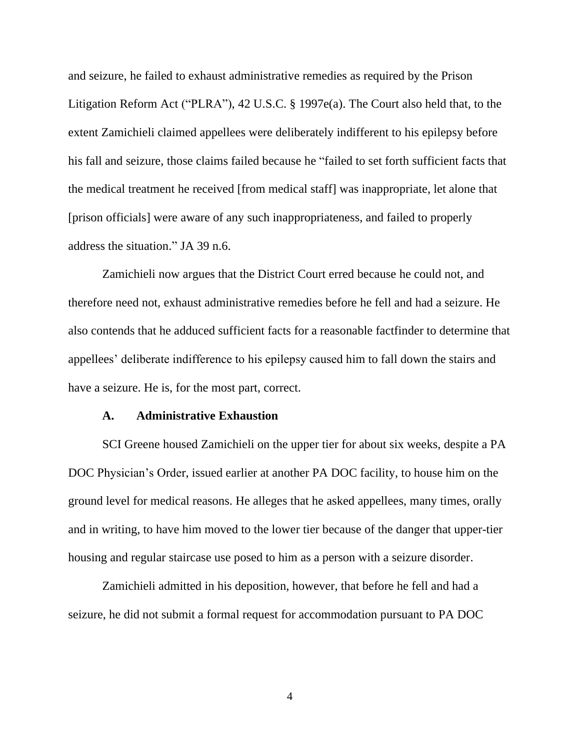and seizure, he failed to exhaust administrative remedies as required by the Prison Litigation Reform Act ("PLRA"), 42 U.S.C. § 1997e(a). The Court also held that, to the extent Zamichieli claimed appellees were deliberately indifferent to his epilepsy before his fall and seizure, those claims failed because he "failed to set forth sufficient facts that the medical treatment he received [from medical staff] was inappropriate, let alone that [prison officials] were aware of any such inappropriateness, and failed to properly address the situation." JA 39 n.6.

Zamichieli now argues that the District Court erred because he could not, and therefore need not, exhaust administrative remedies before he fell and had a seizure. He also contends that he adduced sufficient facts for a reasonable factfinder to determine that appellees' deliberate indifference to his epilepsy caused him to fall down the stairs and have a seizure. He is, for the most part, correct.

#### **A. Administrative Exhaustion**

SCI Greene housed Zamichieli on the upper tier for about six weeks, despite a PA DOC Physician's Order, issued earlier at another PA DOC facility, to house him on the ground level for medical reasons. He alleges that he asked appellees, many times, orally and in writing, to have him moved to the lower tier because of the danger that upper-tier housing and regular staircase use posed to him as a person with a seizure disorder.

Zamichieli admitted in his deposition, however, that before he fell and had a seizure, he did not submit a formal request for accommodation pursuant to PA DOC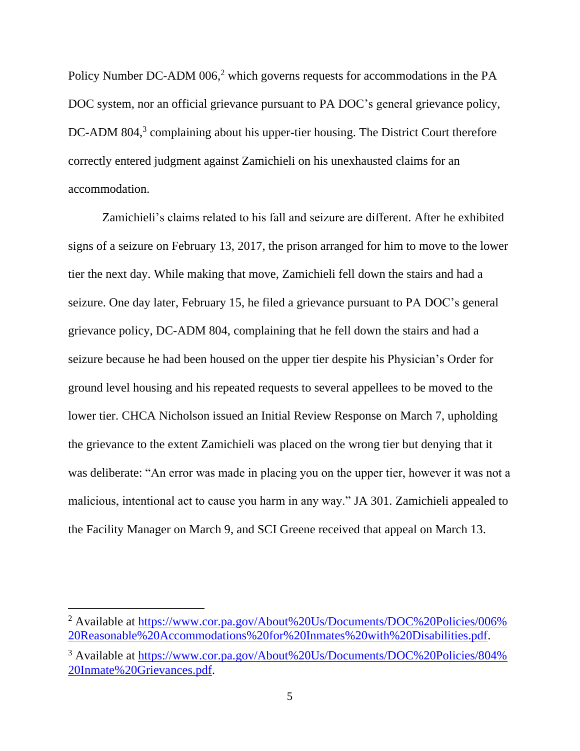Policy Number DC-ADM 006,<sup>2</sup> which governs requests for accommodations in the PA DOC system, nor an official grievance pursuant to PA DOC's general grievance policy, DC-ADM 804,<sup>3</sup> complaining about his upper-tier housing. The District Court therefore correctly entered judgment against Zamichieli on his unexhausted claims for an accommodation.

Zamichieli's claims related to his fall and seizure are different. After he exhibited signs of a seizure on February 13, 2017, the prison arranged for him to move to the lower tier the next day. While making that move, Zamichieli fell down the stairs and had a seizure. One day later, February 15, he filed a grievance pursuant to PA DOC's general grievance policy, DC-ADM 804, complaining that he fell down the stairs and had a seizure because he had been housed on the upper tier despite his Physician's Order for ground level housing and his repeated requests to several appellees to be moved to the lower tier. CHCA Nicholson issued an Initial Review Response on March 7, upholding the grievance to the extent Zamichieli was placed on the wrong tier but denying that it was deliberate: "An error was made in placing you on the upper tier, however it was not a malicious, intentional act to cause you harm in any way." JA 301. Zamichieli appealed to the Facility Manager on March 9, and SCI Greene received that appeal on March 13.

<sup>&</sup>lt;sup>2</sup> Available at [https://www.cor.pa.gov/About%20Us/Documents/DOC%20Policies/006%](https://www.cor.pa.gov/About%20Us/Documents/DOC%20Policies/006%20Reasonable%20Accommodations%20for%20Inmates%20with%20Disabilities.pdf) [20Reasonable%20Accommodations%20for%20Inmates%20with%20Disabilities.pdf.](https://www.cor.pa.gov/About%20Us/Documents/DOC%20Policies/006%20Reasonable%20Accommodations%20for%20Inmates%20with%20Disabilities.pdf)

<sup>&</sup>lt;sup>3</sup> Available at [https://www.cor.pa.gov/About%20Us/Documents/DOC%20Policies/804%](https://www.cor.pa.gov/About%20Us/Documents/DOC%20Policies/804%20Inmate%20Grievances.pdf) [20Inmate%20Grievances.pdf.](https://www.cor.pa.gov/About%20Us/Documents/DOC%20Policies/804%20Inmate%20Grievances.pdf)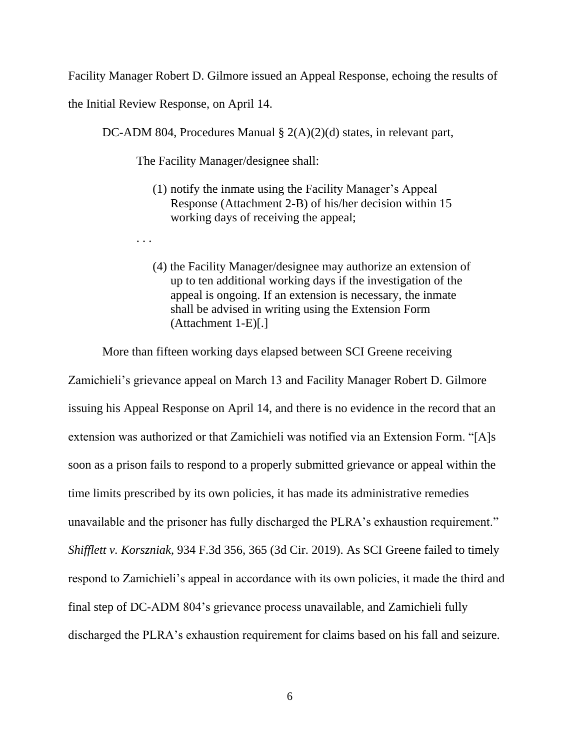Facility Manager Robert D. Gilmore issued an Appeal Response, echoing the results of

the Initial Review Response, on April 14.

. . .

DC-ADM 804, Procedures Manual § 2(A)(2)(d) states, in relevant part,

The Facility Manager/designee shall:

- (1) notify the inmate using the Facility Manager's Appeal Response (Attachment 2-B) of his/her decision within 15 working days of receiving the appeal;
- (4) the Facility Manager/designee may authorize an extension of up to ten additional working days if the investigation of the appeal is ongoing. If an extension is necessary, the inmate shall be advised in writing using the Extension Form (Attachment 1-E)[.]

More than fifteen working days elapsed between SCI Greene receiving

Zamichieli's grievance appeal on March 13 and Facility Manager Robert D. Gilmore issuing his Appeal Response on April 14, and there is no evidence in the record that an extension was authorized or that Zamichieli was notified via an Extension Form. "[A]s soon as a prison fails to respond to a properly submitted grievance or appeal within the time limits prescribed by its own policies, it has made its administrative remedies unavailable and the prisoner has fully discharged the PLRA's exhaustion requirement." *Shifflett v. Korszniak*, 934 F.3d 356, 365 (3d Cir. 2019). As SCI Greene failed to timely respond to Zamichieli's appeal in accordance with its own policies, it made the third and final step of DC-ADM 804's grievance process unavailable, and Zamichieli fully discharged the PLRA's exhaustion requirement for claims based on his fall and seizure.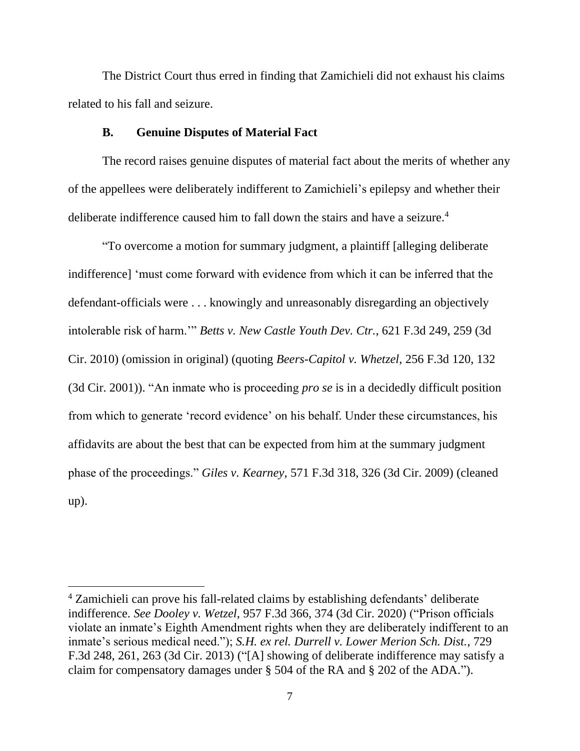The District Court thus erred in finding that Zamichieli did not exhaust his claims related to his fall and seizure.

#### **B. Genuine Disputes of Material Fact**

The record raises genuine disputes of material fact about the merits of whether any of the appellees were deliberately indifferent to Zamichieli's epilepsy and whether their deliberate indifference caused him to fall down the stairs and have a seizure. 4

"To overcome a motion for summary judgment, a plaintiff [alleging deliberate indifference] 'must come forward with evidence from which it can be inferred that the defendant-officials were . . . knowingly and unreasonably disregarding an objectively intolerable risk of harm.'" *Betts v. New Castle Youth Dev. Ctr.*, 621 F.3d 249, 259 (3d Cir. 2010) (omission in original) (quoting *Beers-Capitol v. Whetzel*, 256 F.3d 120, 132 (3d Cir. 2001)). "An inmate who is proceeding *pro se* is in a decidedly difficult position from which to generate 'record evidence' on his behalf. Under these circumstances, his affidavits are about the best that can be expected from him at the summary judgment phase of the proceedings." *Giles v. Kearney*, 571 F.3d 318, 326 (3d Cir. 2009) (cleaned up).

<sup>4</sup> Zamichieli can prove his fall-related claims by establishing defendants' deliberate indifference. *See Dooley v. Wetzel*, 957 F.3d 366, 374 (3d Cir. 2020) ("Prison officials violate an inmate's Eighth Amendment rights when they are deliberately indifferent to an inmate's serious medical need."); *S.H. ex rel. Durrell v. Lower Merion Sch. Dist.*, 729 F.3d 248, 261, 263 (3d Cir. 2013) ("[A] showing of deliberate indifference may satisfy a claim for compensatory damages under § 504 of the RA and § 202 of the ADA.").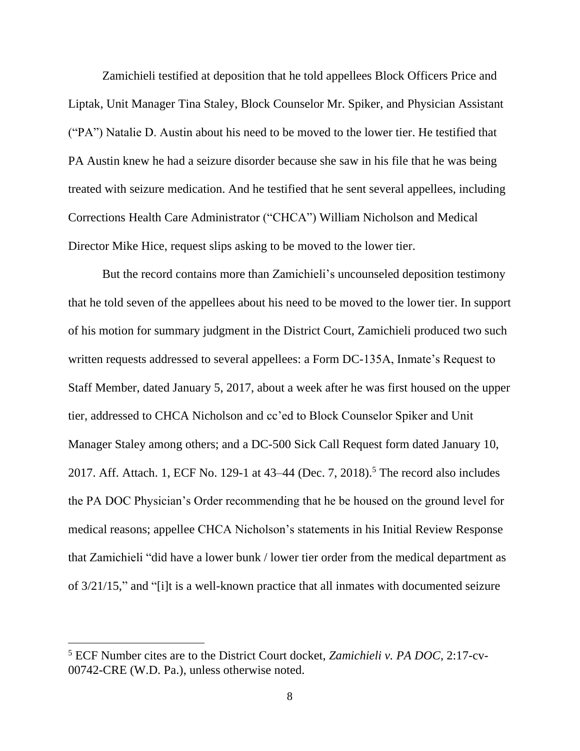Zamichieli testified at deposition that he told appellees Block Officers Price and Liptak, Unit Manager Tina Staley, Block Counselor Mr. Spiker, and Physician Assistant ("PA") Natalie D. Austin about his need to be moved to the lower tier. He testified that PA Austin knew he had a seizure disorder because she saw in his file that he was being treated with seizure medication. And he testified that he sent several appellees, including Corrections Health Care Administrator ("CHCA") William Nicholson and Medical Director Mike Hice, request slips asking to be moved to the lower tier.

But the record contains more than Zamichieli's uncounseled deposition testimony that he told seven of the appellees about his need to be moved to the lower tier. In support of his motion for summary judgment in the District Court, Zamichieli produced two such written requests addressed to several appellees: a Form DC-135A, Inmate's Request to Staff Member, dated January 5, 2017, about a week after he was first housed on the upper tier, addressed to CHCA Nicholson and cc'ed to Block Counselor Spiker and Unit Manager Staley among others; and a DC-500 Sick Call Request form dated January 10, 2017. Aff. Attach. 1, ECF No. 129-1 at 43–44 (Dec. 7, 2018). <sup>5</sup> The record also includes the PA DOC Physician's Order recommending that he be housed on the ground level for medical reasons; appellee CHCA Nicholson's statements in his Initial Review Response that Zamichieli "did have a lower bunk / lower tier order from the medical department as of 3/21/15," and "[i]t is a well-known practice that all inmates with documented seizure

<sup>5</sup> ECF Number cites are to the District Court docket, *Zamichieli v. PA DOC*, 2:17-cv-00742-CRE (W.D. Pa.), unless otherwise noted.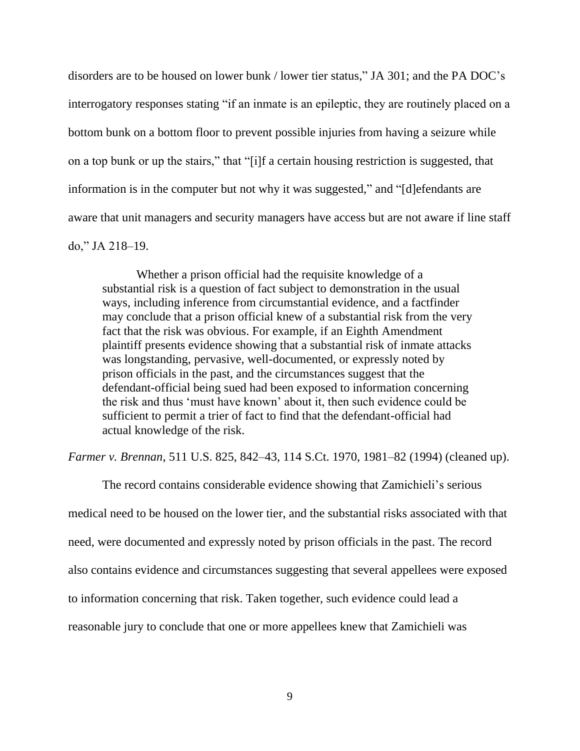disorders are to be housed on lower bunk / lower tier status," JA 301; and the PA DOC's interrogatory responses stating "if an inmate is an epileptic, they are routinely placed on a bottom bunk on a bottom floor to prevent possible injuries from having a seizure while on a top bunk or up the stairs," that "[i]f a certain housing restriction is suggested, that information is in the computer but not why it was suggested," and "[d]efendants are aware that unit managers and security managers have access but are not aware if line staff do," JA 218–19.

Whether a prison official had the requisite knowledge of a substantial risk is a question of fact subject to demonstration in the usual ways, including inference from circumstantial evidence, and a factfinder may conclude that a prison official knew of a substantial risk from the very fact that the risk was obvious. For example, if an Eighth Amendment plaintiff presents evidence showing that a substantial risk of inmate attacks was longstanding, pervasive, well-documented, or expressly noted by prison officials in the past, and the circumstances suggest that the defendant-official being sued had been exposed to information concerning the risk and thus 'must have known' about it, then such evidence could be sufficient to permit a trier of fact to find that the defendant-official had actual knowledge of the risk.

*Farmer v. Brennan*, 511 U.S. 825, 842–43, 114 S.Ct. 1970, 1981–82 (1994) (cleaned up).

The record contains considerable evidence showing that Zamichieli's serious medical need to be housed on the lower tier, and the substantial risks associated with that need, were documented and expressly noted by prison officials in the past. The record also contains evidence and circumstances suggesting that several appellees were exposed to information concerning that risk. Taken together, such evidence could lead a reasonable jury to conclude that one or more appellees knew that Zamichieli was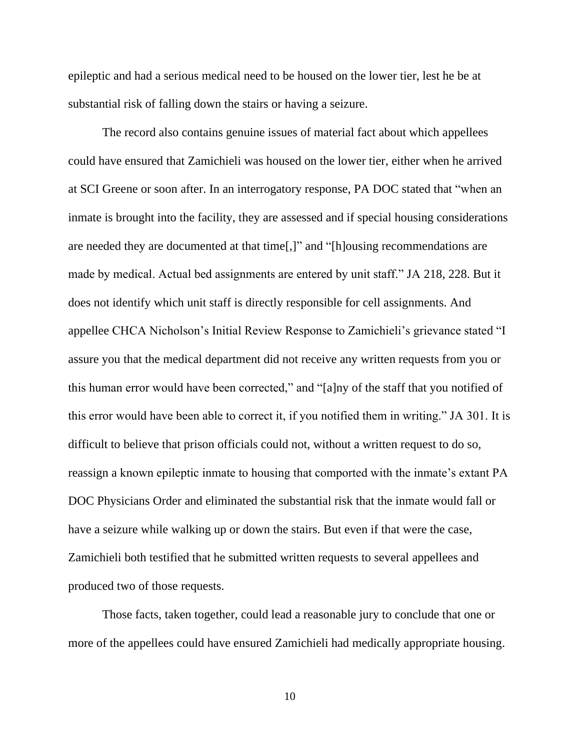epileptic and had a serious medical need to be housed on the lower tier, lest he be at substantial risk of falling down the stairs or having a seizure.

The record also contains genuine issues of material fact about which appellees could have ensured that Zamichieli was housed on the lower tier, either when he arrived at SCI Greene or soon after. In an interrogatory response, PA DOC stated that "when an inmate is brought into the facility, they are assessed and if special housing considerations are needed they are documented at that time[,]" and "[h]ousing recommendations are made by medical. Actual bed assignments are entered by unit staff." JA 218, 228. But it does not identify which unit staff is directly responsible for cell assignments. And appellee CHCA Nicholson's Initial Review Response to Zamichieli's grievance stated "I assure you that the medical department did not receive any written requests from you or this human error would have been corrected," and "[a]ny of the staff that you notified of this error would have been able to correct it, if you notified them in writing." JA 301. It is difficult to believe that prison officials could not, without a written request to do so, reassign a known epileptic inmate to housing that comported with the inmate's extant PA DOC Physicians Order and eliminated the substantial risk that the inmate would fall or have a seizure while walking up or down the stairs. But even if that were the case, Zamichieli both testified that he submitted written requests to several appellees and produced two of those requests.

Those facts, taken together, could lead a reasonable jury to conclude that one or more of the appellees could have ensured Zamichieli had medically appropriate housing.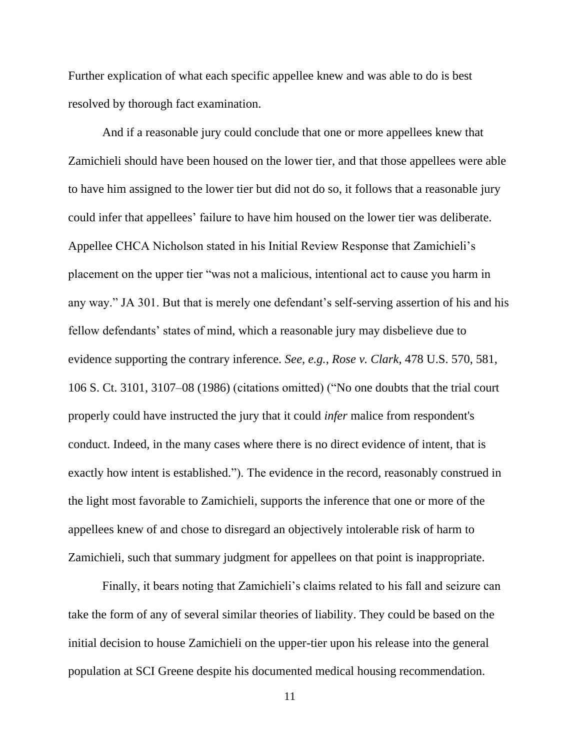Further explication of what each specific appellee knew and was able to do is best resolved by thorough fact examination.

And if a reasonable jury could conclude that one or more appellees knew that Zamichieli should have been housed on the lower tier, and that those appellees were able to have him assigned to the lower tier but did not do so, it follows that a reasonable jury could infer that appellees' failure to have him housed on the lower tier was deliberate. Appellee CHCA Nicholson stated in his Initial Review Response that Zamichieli's placement on the upper tier "was not a malicious, intentional act to cause you harm in any way." JA 301. But that is merely one defendant's self-serving assertion of his and his fellow defendants' states of mind, which a reasonable jury may disbelieve due to evidence supporting the contrary inference. *See, e.g.*, *Rose v. Clark*, 478 U.S. 570, 581, 106 S. Ct. 3101, 3107–08 (1986) (citations omitted) ("No one doubts that the trial court properly could have instructed the jury that it could *infer* malice from respondent's conduct. Indeed, in the many cases where there is no direct evidence of intent, that is exactly how intent is established."). The evidence in the record, reasonably construed in the light most favorable to Zamichieli, supports the inference that one or more of the appellees knew of and chose to disregard an objectively intolerable risk of harm to Zamichieli, such that summary judgment for appellees on that point is inappropriate.

Finally, it bears noting that Zamichieli's claims related to his fall and seizure can take the form of any of several similar theories of liability. They could be based on the initial decision to house Zamichieli on the upper-tier upon his release into the general population at SCI Greene despite his documented medical housing recommendation.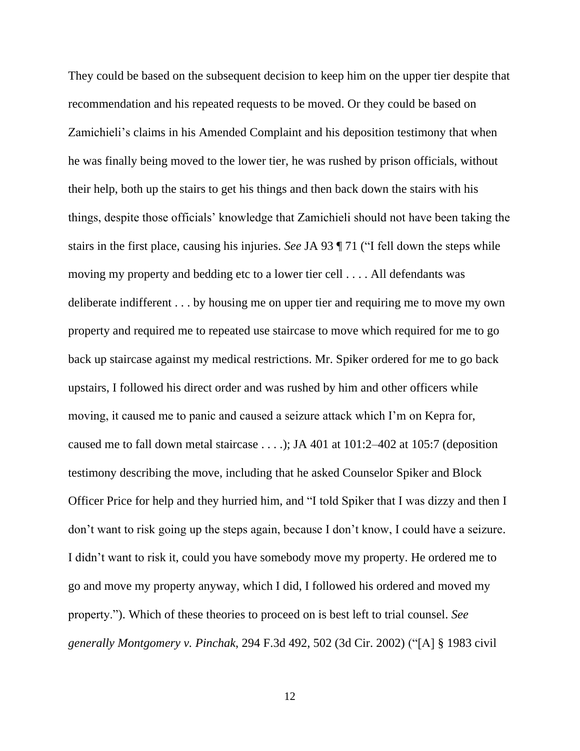They could be based on the subsequent decision to keep him on the upper tier despite that recommendation and his repeated requests to be moved. Or they could be based on Zamichieli's claims in his Amended Complaint and his deposition testimony that when he was finally being moved to the lower tier, he was rushed by prison officials, without their help, both up the stairs to get his things and then back down the stairs with his things, despite those officials' knowledge that Zamichieli should not have been taking the stairs in the first place, causing his injuries. *See* JA 93 ¶ 71 ("I fell down the steps while moving my property and bedding etc to a lower tier cell . . . . All defendants was deliberate indifferent . . . by housing me on upper tier and requiring me to move my own property and required me to repeated use staircase to move which required for me to go back up staircase against my medical restrictions. Mr. Spiker ordered for me to go back upstairs, I followed his direct order and was rushed by him and other officers while moving, it caused me to panic and caused a seizure attack which I'm on Kepra for, caused me to fall down metal staircase . . . .); JA 401 at 101:2–402 at 105:7 (deposition testimony describing the move, including that he asked Counselor Spiker and Block Officer Price for help and they hurried him, and "I told Spiker that I was dizzy and then I don't want to risk going up the steps again, because I don't know, I could have a seizure. I didn't want to risk it, could you have somebody move my property. He ordered me to go and move my property anyway, which I did, I followed his ordered and moved my property."). Which of these theories to proceed on is best left to trial counsel. *See generally Montgomery v. Pinchak*, 294 F.3d 492, 502 (3d Cir. 2002) ("[A] § 1983 civil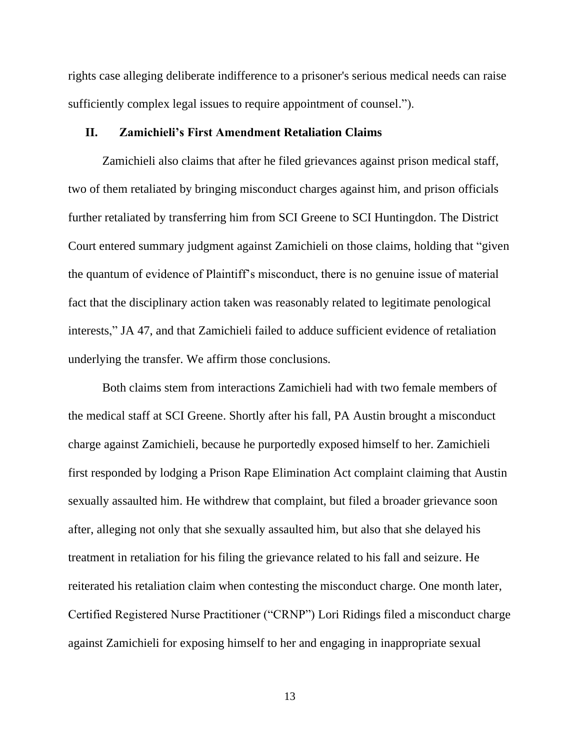rights case alleging deliberate indifference to a prisoner's serious medical needs can raise sufficiently complex legal issues to require appointment of counsel.").

#### **II. Zamichieli's First Amendment Retaliation Claims**

Zamichieli also claims that after he filed grievances against prison medical staff, two of them retaliated by bringing misconduct charges against him, and prison officials further retaliated by transferring him from SCI Greene to SCI Huntingdon. The District Court entered summary judgment against Zamichieli on those claims, holding that "given the quantum of evidence of Plaintiff's misconduct, there is no genuine issue of material fact that the disciplinary action taken was reasonably related to legitimate penological interests," JA 47, and that Zamichieli failed to adduce sufficient evidence of retaliation underlying the transfer. We affirm those conclusions.

Both claims stem from interactions Zamichieli had with two female members of the medical staff at SCI Greene. Shortly after his fall, PA Austin brought a misconduct charge against Zamichieli, because he purportedly exposed himself to her. Zamichieli first responded by lodging a Prison Rape Elimination Act complaint claiming that Austin sexually assaulted him. He withdrew that complaint, but filed a broader grievance soon after, alleging not only that she sexually assaulted him, but also that she delayed his treatment in retaliation for his filing the grievance related to his fall and seizure. He reiterated his retaliation claim when contesting the misconduct charge. One month later, Certified Registered Nurse Practitioner ("CRNP") Lori Ridings filed a misconduct charge against Zamichieli for exposing himself to her and engaging in inappropriate sexual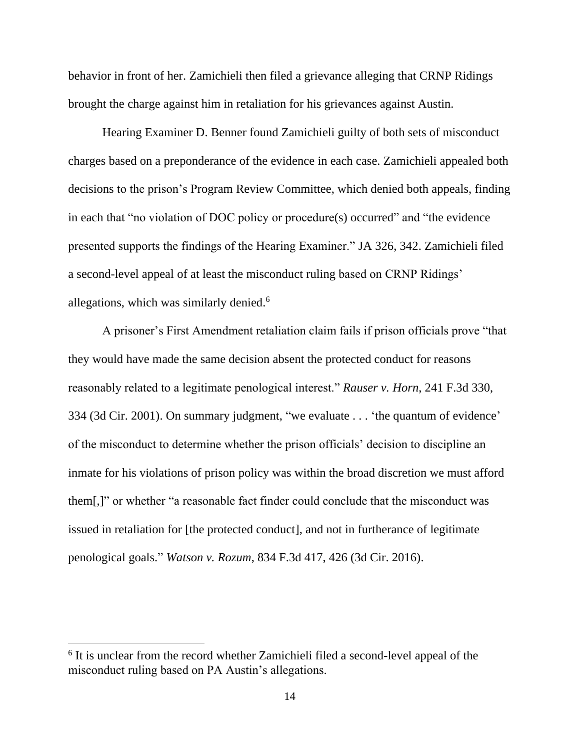behavior in front of her. Zamichieli then filed a grievance alleging that CRNP Ridings brought the charge against him in retaliation for his grievances against Austin.

Hearing Examiner D. Benner found Zamichieli guilty of both sets of misconduct charges based on a preponderance of the evidence in each case. Zamichieli appealed both decisions to the prison's Program Review Committee, which denied both appeals, finding in each that "no violation of DOC policy or procedure(s) occurred" and "the evidence presented supports the findings of the Hearing Examiner." JA 326, 342. Zamichieli filed a second-level appeal of at least the misconduct ruling based on CRNP Ridings' allegations, which was similarly denied.<sup>6</sup>

A prisoner's First Amendment retaliation claim fails if prison officials prove "that they would have made the same decision absent the protected conduct for reasons reasonably related to a legitimate penological interest." *Rauser v. Horn*, 241 F.3d 330, 334 (3d Cir. 2001). On summary judgment, "we evaluate . . . 'the quantum of evidence' of the misconduct to determine whether the prison officials' decision to discipline an inmate for his violations of prison policy was within the broad discretion we must afford them[,]" or whether "a reasonable fact finder could conclude that the misconduct was issued in retaliation for [the protected conduct], and not in furtherance of legitimate penological goals." *Watson v. Rozum*, 834 F.3d 417, 426 (3d Cir. 2016).

<sup>&</sup>lt;sup>6</sup> It is unclear from the record whether Zamichieli filed a second-level appeal of the misconduct ruling based on PA Austin's allegations.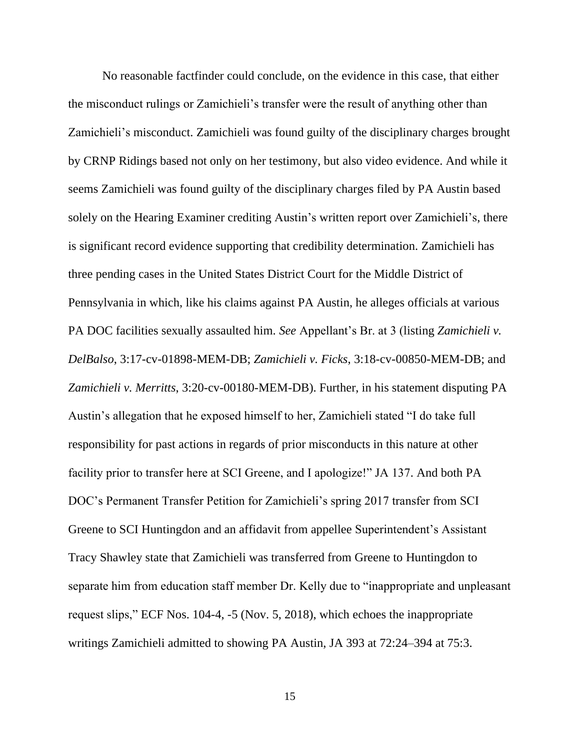No reasonable factfinder could conclude, on the evidence in this case, that either the misconduct rulings or Zamichieli's transfer were the result of anything other than Zamichieli's misconduct. Zamichieli was found guilty of the disciplinary charges brought by CRNP Ridings based not only on her testimony, but also video evidence. And while it seems Zamichieli was found guilty of the disciplinary charges filed by PA Austin based solely on the Hearing Examiner crediting Austin's written report over Zamichieli's, there is significant record evidence supporting that credibility determination. Zamichieli has three pending cases in the United States District Court for the Middle District of Pennsylvania in which, like his claims against PA Austin, he alleges officials at various PA DOC facilities sexually assaulted him. *See* Appellant's Br. at 3 (listing *Zamichieli v. DelBalso*, 3:17-cv-01898-MEM-DB; *Zamichieli v. Ficks*, 3:18-cv-00850-MEM-DB; and *Zamichieli v. Merritts*, 3:20-cv-00180-MEM-DB). Further, in his statement disputing PA Austin's allegation that he exposed himself to her, Zamichieli stated "I do take full responsibility for past actions in regards of prior misconducts in this nature at other facility prior to transfer here at SCI Greene, and I apologize!" JA 137. And both PA DOC's Permanent Transfer Petition for Zamichieli's spring 2017 transfer from SCI Greene to SCI Huntingdon and an affidavit from appellee Superintendent's Assistant Tracy Shawley state that Zamichieli was transferred from Greene to Huntingdon to separate him from education staff member Dr. Kelly due to "inappropriate and unpleasant request slips," ECF Nos. 104-4, -5 (Nov. 5, 2018), which echoes the inappropriate writings Zamichieli admitted to showing PA Austin, JA 393 at 72:24–394 at 75:3.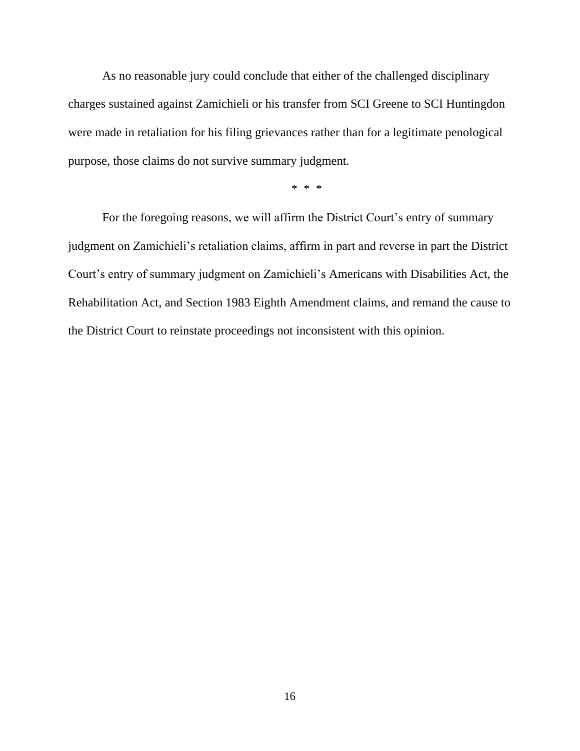As no reasonable jury could conclude that either of the challenged disciplinary charges sustained against Zamichieli or his transfer from SCI Greene to SCI Huntingdon were made in retaliation for his filing grievances rather than for a legitimate penological purpose, those claims do not survive summary judgment.

\* \* \*

For the foregoing reasons, we will affirm the District Court's entry of summary judgment on Zamichieli's retaliation claims, affirm in part and reverse in part the District Court's entry of summary judgment on Zamichieli's Americans with Disabilities Act, the Rehabilitation Act, and Section 1983 Eighth Amendment claims, and remand the cause to the District Court to reinstate proceedings not inconsistent with this opinion.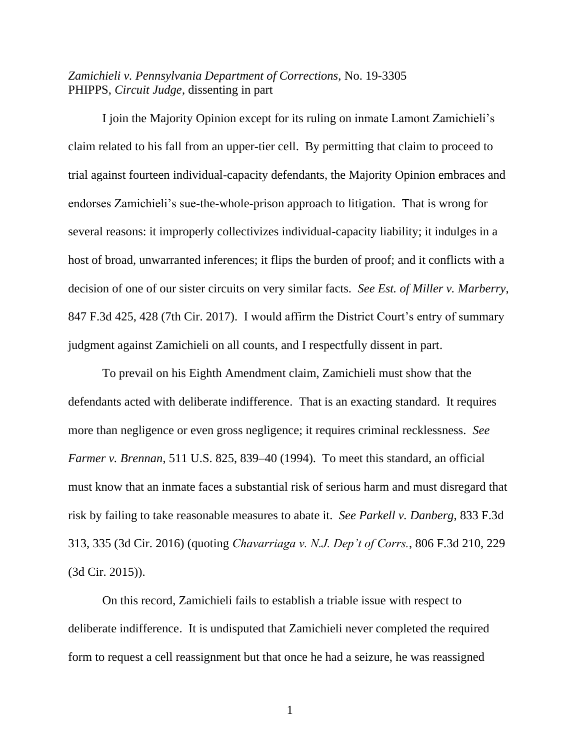## *Zamichieli v. Pennsylvania Department of Corrections*, No. 19-3305 PHIPPS, *Circuit Judge*, dissenting in part

I join the Majority Opinion except for its ruling on inmate Lamont Zamichieli's claim related to his fall from an upper-tier cell. By permitting that claim to proceed to trial against fourteen individual-capacity defendants, the Majority Opinion embraces and endorses Zamichieli's sue-the-whole-prison approach to litigation. That is wrong for several reasons: it improperly collectivizes individual-capacity liability; it indulges in a host of broad, unwarranted inferences; it flips the burden of proof; and it conflicts with a decision of one of our sister circuits on very similar facts. *See Est. of Miller v. Marberry*, 847 F.3d 425, 428 (7th Cir. 2017). I would affirm the District Court's entry of summary judgment against Zamichieli on all counts, and I respectfully dissent in part.

To prevail on his Eighth Amendment claim, Zamichieli must show that the defendants acted with deliberate indifference. That is an exacting standard. It requires more than negligence or even gross negligence; it requires criminal recklessness. *See Farmer v. Brennan*, 511 U.S. 825, 839–40 (1994). To meet this standard, an official must know that an inmate faces a substantial risk of serious harm and must disregard that risk by failing to take reasonable measures to abate it. *See Parkell v. Danberg*, 833 F.3d 313, 335 (3d Cir. 2016) (quoting *Chavarriaga v. N.J. Dep't of Corrs.*, 806 F.3d 210, 229 (3d Cir. 2015)).

On this record, Zamichieli fails to establish a triable issue with respect to deliberate indifference. It is undisputed that Zamichieli never completed the required form to request a cell reassignment but that once he had a seizure, he was reassigned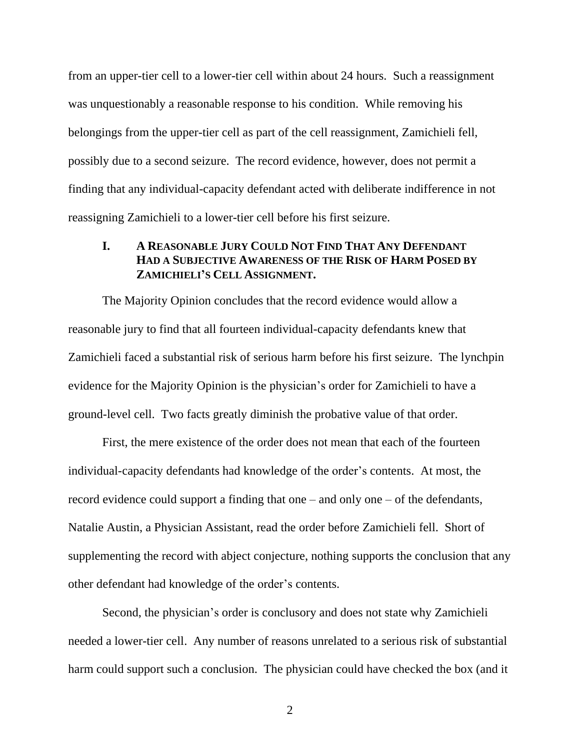from an upper-tier cell to a lower-tier cell within about 24 hours. Such a reassignment was unquestionably a reasonable response to his condition. While removing his belongings from the upper-tier cell as part of the cell reassignment, Zamichieli fell, possibly due to a second seizure. The record evidence, however, does not permit a finding that any individual-capacity defendant acted with deliberate indifference in not reassigning Zamichieli to a lower-tier cell before his first seizure.

# **I. A REASONABLE JURY COULD NOT FIND THAT ANY DEFENDANT HAD A SUBJECTIVE AWARENESS OF THE RISK OF HARM POSED BY ZAMICHIELI'S CELL ASSIGNMENT.**

The Majority Opinion concludes that the record evidence would allow a reasonable jury to find that all fourteen individual-capacity defendants knew that Zamichieli faced a substantial risk of serious harm before his first seizure. The lynchpin evidence for the Majority Opinion is the physician's order for Zamichieli to have a ground-level cell. Two facts greatly diminish the probative value of that order.

First, the mere existence of the order does not mean that each of the fourteen individual-capacity defendants had knowledge of the order's contents. At most, the record evidence could support a finding that one – and only one – of the defendants, Natalie Austin, a Physician Assistant, read the order before Zamichieli fell. Short of supplementing the record with abject conjecture, nothing supports the conclusion that any other defendant had knowledge of the order's contents.

Second, the physician's order is conclusory and does not state why Zamichieli needed a lower-tier cell. Any number of reasons unrelated to a serious risk of substantial harm could support such a conclusion. The physician could have checked the box (and it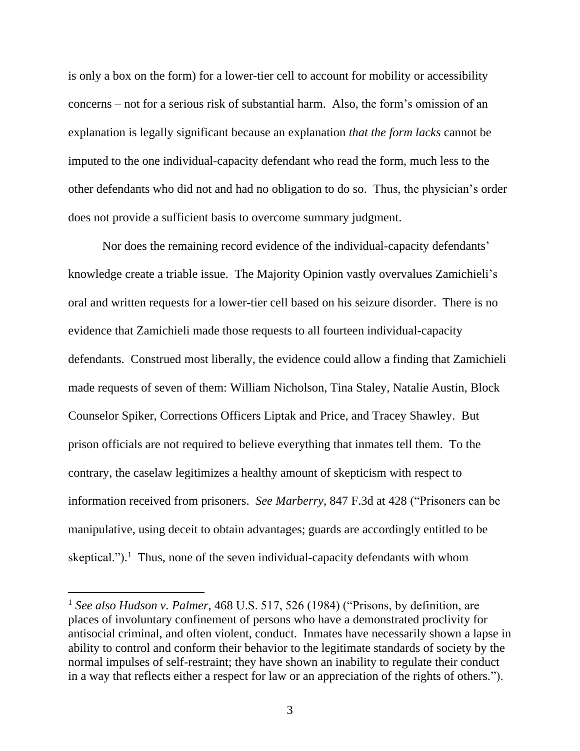is only a box on the form) for a lower-tier cell to account for mobility or accessibility concerns – not for a serious risk of substantial harm. Also, the form's omission of an explanation is legally significant because an explanation *that the form lacks* cannot be imputed to the one individual-capacity defendant who read the form, much less to the other defendants who did not and had no obligation to do so. Thus, the physician's order does not provide a sufficient basis to overcome summary judgment.

Nor does the remaining record evidence of the individual-capacity defendants' knowledge create a triable issue. The Majority Opinion vastly overvalues Zamichieli's oral and written requests for a lower-tier cell based on his seizure disorder. There is no evidence that Zamichieli made those requests to all fourteen individual-capacity defendants. Construed most liberally, the evidence could allow a finding that Zamichieli made requests of seven of them: William Nicholson, Tina Staley, Natalie Austin, Block Counselor Spiker, Corrections Officers Liptak and Price, and Tracey Shawley. But prison officials are not required to believe everything that inmates tell them. To the contrary, the caselaw legitimizes a healthy amount of skepticism with respect to information received from prisoners. *See Marberry*, 847 F.3d at 428 ("Prisoners can be manipulative, using deceit to obtain advantages; guards are accordingly entitled to be skeptical.").<sup>1</sup> Thus, none of the seven individual-capacity defendants with whom

<sup>1</sup> *See also Hudson v. Palmer*, 468 U.S. 517, 526 (1984) ("Prisons, by definition, are places of involuntary confinement of persons who have a demonstrated proclivity for antisocial criminal, and often violent, conduct. Inmates have necessarily shown a lapse in ability to control and conform their behavior to the legitimate standards of society by the normal impulses of self-restraint; they have shown an inability to regulate their conduct in a way that reflects either a respect for law or an appreciation of the rights of others.").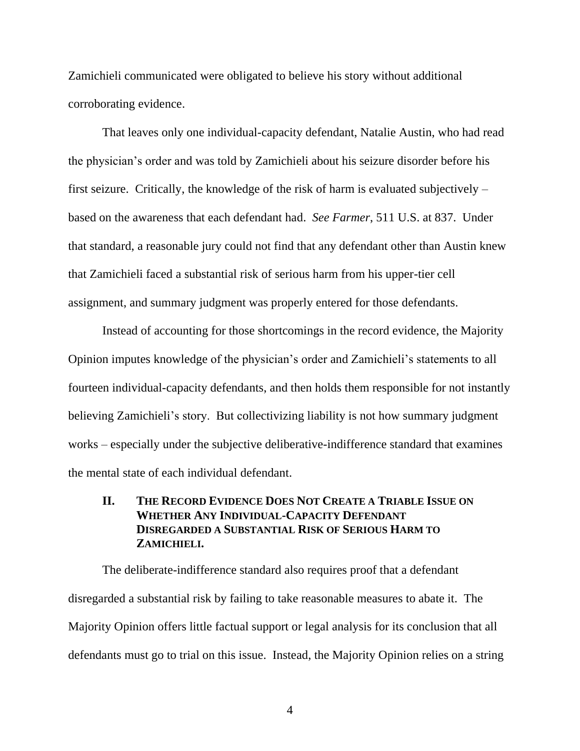Zamichieli communicated were obligated to believe his story without additional corroborating evidence.

That leaves only one individual-capacity defendant, Natalie Austin, who had read the physician's order and was told by Zamichieli about his seizure disorder before his first seizure. Critically, the knowledge of the risk of harm is evaluated subjectively – based on the awareness that each defendant had. *See Farmer*, 511 U.S. at 837. Under that standard, a reasonable jury could not find that any defendant other than Austin knew that Zamichieli faced a substantial risk of serious harm from his upper-tier cell assignment, and summary judgment was properly entered for those defendants.

Instead of accounting for those shortcomings in the record evidence, the Majority Opinion imputes knowledge of the physician's order and Zamichieli's statements to all fourteen individual-capacity defendants, and then holds them responsible for not instantly believing Zamichieli's story. But collectivizing liability is not how summary judgment works – especially under the subjective deliberative-indifference standard that examines the mental state of each individual defendant.

# **II. THE RECORD EVIDENCE DOES NOT CREATE A TRIABLE ISSUE ON WHETHER ANY INDIVIDUAL-CAPACITY DEFENDANT DISREGARDED A SUBSTANTIAL RISK OF SERIOUS HARM TO ZAMICHIELI.**

The deliberate-indifference standard also requires proof that a defendant disregarded a substantial risk by failing to take reasonable measures to abate it. The Majority Opinion offers little factual support or legal analysis for its conclusion that all defendants must go to trial on this issue. Instead, the Majority Opinion relies on a string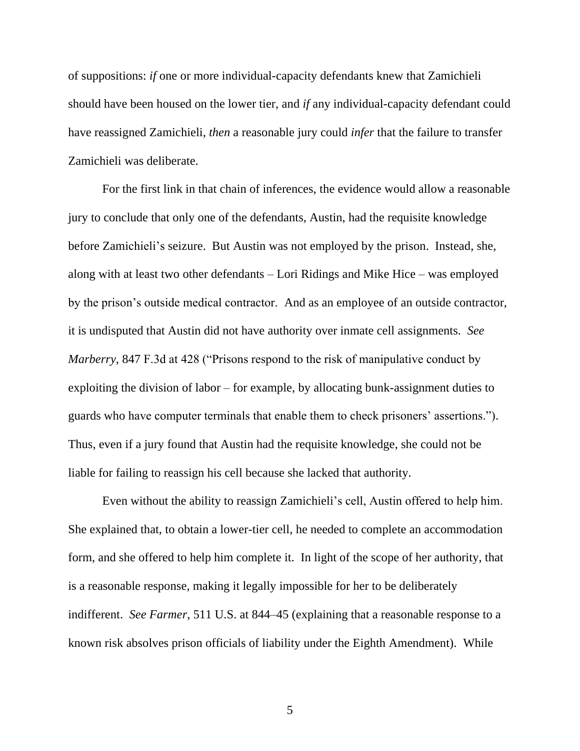of suppositions: *if* one or more individual-capacity defendants knew that Zamichieli should have been housed on the lower tier, and *if* any individual-capacity defendant could have reassigned Zamichieli, *then* a reasonable jury could *infer* that the failure to transfer Zamichieli was deliberate.

For the first link in that chain of inferences, the evidence would allow a reasonable jury to conclude that only one of the defendants, Austin, had the requisite knowledge before Zamichieli's seizure. But Austin was not employed by the prison. Instead, she, along with at least two other defendants – Lori Ridings and Mike Hice – was employed by the prison's outside medical contractor. And as an employee of an outside contractor, it is undisputed that Austin did not have authority over inmate cell assignments. *See Marberry*, 847 F.3d at 428 ("Prisons respond to the risk of manipulative conduct by exploiting the division of labor – for example, by allocating bunk-assignment duties to guards who have computer terminals that enable them to check prisoners' assertions."). Thus, even if a jury found that Austin had the requisite knowledge, she could not be liable for failing to reassign his cell because she lacked that authority.

Even without the ability to reassign Zamichieli's cell, Austin offered to help him. She explained that, to obtain a lower-tier cell, he needed to complete an accommodation form, and she offered to help him complete it. In light of the scope of her authority, that is a reasonable response, making it legally impossible for her to be deliberately indifferent. *See Farmer*, 511 U.S. at 844–45 (explaining that a reasonable response to a known risk absolves prison officials of liability under the Eighth Amendment). While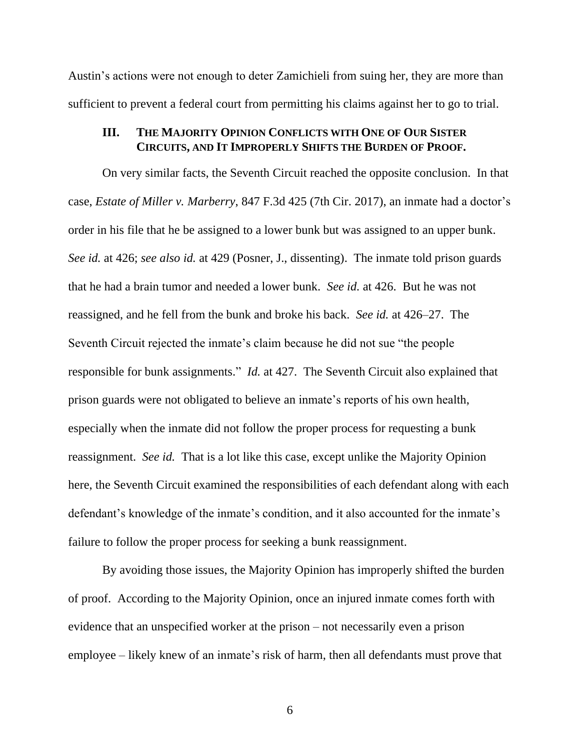Austin's actions were not enough to deter Zamichieli from suing her, they are more than sufficient to prevent a federal court from permitting his claims against her to go to trial.

## **III. THE MAJORITY OPINION CONFLICTS WITH ONE OF OUR SISTER CIRCUITS, AND IT IMPROPERLY SHIFTS THE BURDEN OF PROOF.**

On very similar facts, the Seventh Circuit reached the opposite conclusion. In that case, *Estate of Miller v. Marberry*, 847 F.3d 425 (7th Cir. 2017), an inmate had a doctor's order in his file that he be assigned to a lower bunk but was assigned to an upper bunk. *See id.* at 426; *see also id.* at 429 (Posner, J., dissenting). The inmate told prison guards that he had a brain tumor and needed a lower bunk. *See id.* at 426. But he was not reassigned, and he fell from the bunk and broke his back. *See id.* at 426–27. The Seventh Circuit rejected the inmate's claim because he did not sue "the people responsible for bunk assignments." *Id.* at 427. The Seventh Circuit also explained that prison guards were not obligated to believe an inmate's reports of his own health, especially when the inmate did not follow the proper process for requesting a bunk reassignment. *See id.* That is a lot like this case, except unlike the Majority Opinion here, the Seventh Circuit examined the responsibilities of each defendant along with each defendant's knowledge of the inmate's condition, and it also accounted for the inmate's failure to follow the proper process for seeking a bunk reassignment.

By avoiding those issues, the Majority Opinion has improperly shifted the burden of proof. According to the Majority Opinion, once an injured inmate comes forth with evidence that an unspecified worker at the prison – not necessarily even a prison employee – likely knew of an inmate's risk of harm, then all defendants must prove that